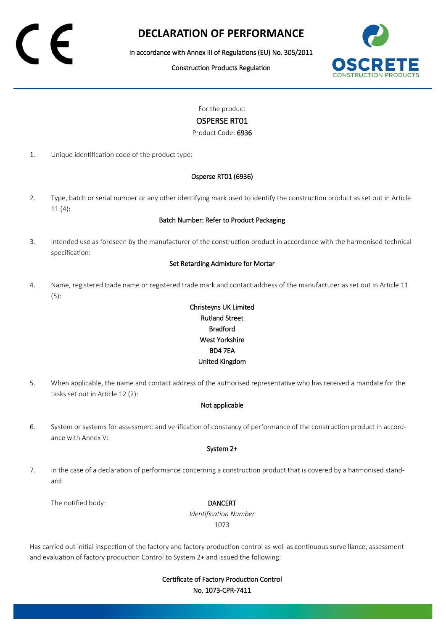# **DECLARATION OF PERFORMANCE**

In accordance with Annex III of Regulations (EU) No. 305/2011

Construction Products Regulation



For the product

### OSPERSE RT01

Product Code: 6936

1. Unique identification code of the product type:

#### Osperse RT01 (6936)

2. Type, batch or serial number or any other identifying mark used to identify the construction product as set out in Article 11 (4):

#### Batch Number: Refer to Product Packaging

3. Intended use as foreseen by the manufacturer of the construction product in accordance with the harmonised technical specification:

#### Set Retarding Admixture for Mortar

4. Name, registered trade name or registered trade mark and contact address of the manufacturer as set out in Article 11 (5):

## Christeyns UK Limited Rutland Street Bradford West Yorkshire BD4 7EA United Kingdom

5. When applicable, the name and contact address of the authorised representative who has received a mandate for the tasks set out in Article 12 (2):

#### Not applicable

6. System or systems for assessment and verification of constancy of performance of the construction product in accordance with Annex V:

#### System 2+

7. In the case of a declaration of performance concerning a construction product that is covered by a harmonised standard:

The notified body: **DANCERT** 

*Identification Number* 1073

Has carried out initial inspection of the factory and factory production control as well as continuous surveillance, assessment and evaluation of factory production Control to System 2+ and issued the following:

> Certificate of Factory Production Control No. 1073-CPR-7411